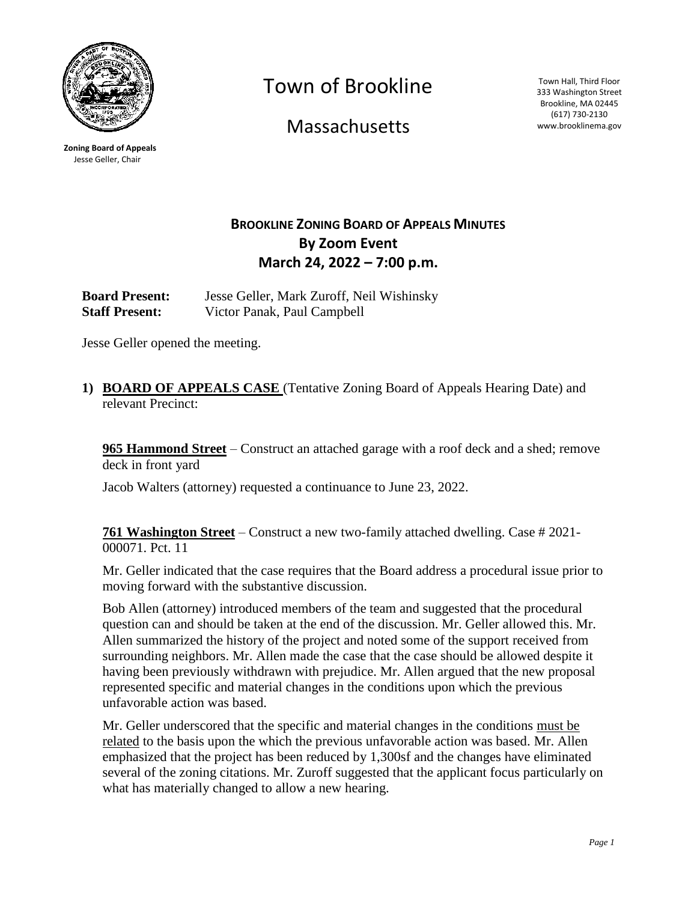

**Zoning Board of Appeals** Jesse Geller, Chair

Town of Brookline

**Massachusetts** 

Town Hall, Third Floor 333 Washington Street Brookline, MA 02445 (617) 730-2130 www.brooklinema.gov

# **BROOKLINE ZONING BOARD OF APPEALS MINUTES By Zoom Event March 24, 2022 – 7:00 p.m.**

**Board Present:** Jesse Geller, Mark Zuroff, Neil Wishinsky **Staff Present:** Victor Panak, Paul Campbell

Jesse Geller opened the meeting.

**1) BOARD OF APPEALS CASE** (Tentative Zoning Board of Appeals Hearing Date) and relevant Precinct:

**965 Hammond Street** – Construct an attached garage with a roof deck and a shed; remove deck in front yard

Jacob Walters (attorney) requested a continuance to June 23, 2022.

**761 Washington Street** – Construct a new two-family attached dwelling. Case # 2021- 000071. Pct. 11

Mr. Geller indicated that the case requires that the Board address a procedural issue prior to moving forward with the substantive discussion.

Bob Allen (attorney) introduced members of the team and suggested that the procedural question can and should be taken at the end of the discussion. Mr. Geller allowed this. Mr. Allen summarized the history of the project and noted some of the support received from surrounding neighbors. Mr. Allen made the case that the case should be allowed despite it having been previously withdrawn with prejudice. Mr. Allen argued that the new proposal represented specific and material changes in the conditions upon which the previous unfavorable action was based.

Mr. Geller underscored that the specific and material changes in the conditions must be related to the basis upon the which the previous unfavorable action was based. Mr. Allen emphasized that the project has been reduced by 1,300sf and the changes have eliminated several of the zoning citations. Mr. Zuroff suggested that the applicant focus particularly on what has materially changed to allow a new hearing.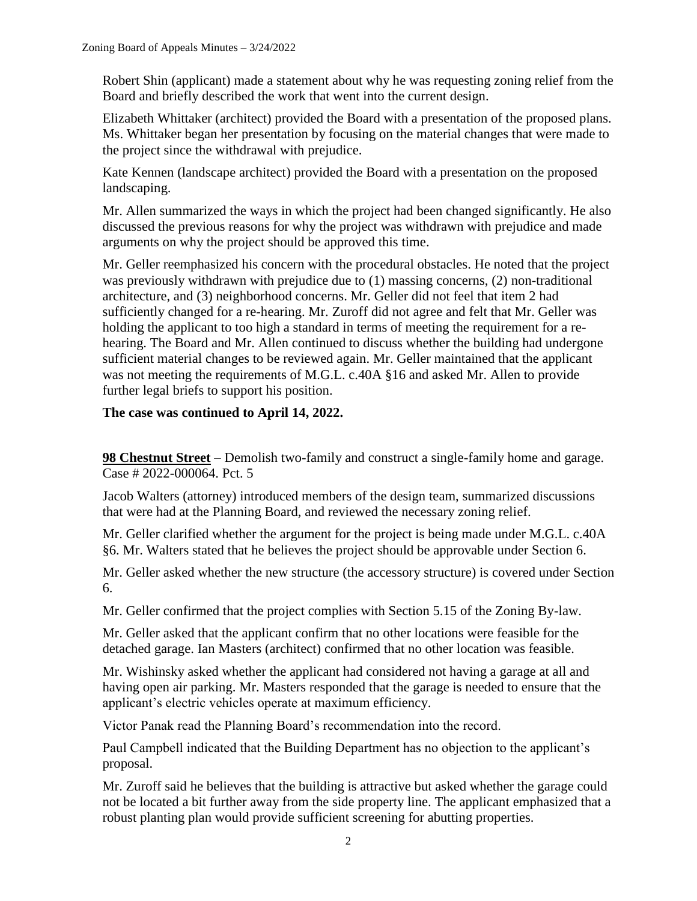Robert Shin (applicant) made a statement about why he was requesting zoning relief from the Board and briefly described the work that went into the current design.

Elizabeth Whittaker (architect) provided the Board with a presentation of the proposed plans. Ms. Whittaker began her presentation by focusing on the material changes that were made to the project since the withdrawal with prejudice.

Kate Kennen (landscape architect) provided the Board with a presentation on the proposed landscaping.

Mr. Allen summarized the ways in which the project had been changed significantly. He also discussed the previous reasons for why the project was withdrawn with prejudice and made arguments on why the project should be approved this time.

Mr. Geller reemphasized his concern with the procedural obstacles. He noted that the project was previously withdrawn with prejudice due to (1) massing concerns, (2) non-traditional architecture, and (3) neighborhood concerns. Mr. Geller did not feel that item 2 had sufficiently changed for a re-hearing. Mr. Zuroff did not agree and felt that Mr. Geller was holding the applicant to too high a standard in terms of meeting the requirement for a rehearing. The Board and Mr. Allen continued to discuss whether the building had undergone sufficient material changes to be reviewed again. Mr. Geller maintained that the applicant was not meeting the requirements of M.G.L. c.40A §16 and asked Mr. Allen to provide further legal briefs to support his position.

# **The case was continued to April 14, 2022.**

**98 Chestnut Street** – Demolish two-family and construct a single-family home and garage. Case # 2022-000064. Pct. 5

Jacob Walters (attorney) introduced members of the design team, summarized discussions that were had at the Planning Board, and reviewed the necessary zoning relief.

Mr. Geller clarified whether the argument for the project is being made under M.G.L. c.40A §6. Mr. Walters stated that he believes the project should be approvable under Section 6.

Mr. Geller asked whether the new structure (the accessory structure) is covered under Section 6.

Mr. Geller confirmed that the project complies with Section 5.15 of the Zoning By-law.

Mr. Geller asked that the applicant confirm that no other locations were feasible for the detached garage. Ian Masters (architect) confirmed that no other location was feasible.

Mr. Wishinsky asked whether the applicant had considered not having a garage at all and having open air parking. Mr. Masters responded that the garage is needed to ensure that the applicant's electric vehicles operate at maximum efficiency.

Victor Panak read the Planning Board's recommendation into the record.

Paul Campbell indicated that the Building Department has no objection to the applicant's proposal.

Mr. Zuroff said he believes that the building is attractive but asked whether the garage could not be located a bit further away from the side property line. The applicant emphasized that a robust planting plan would provide sufficient screening for abutting properties.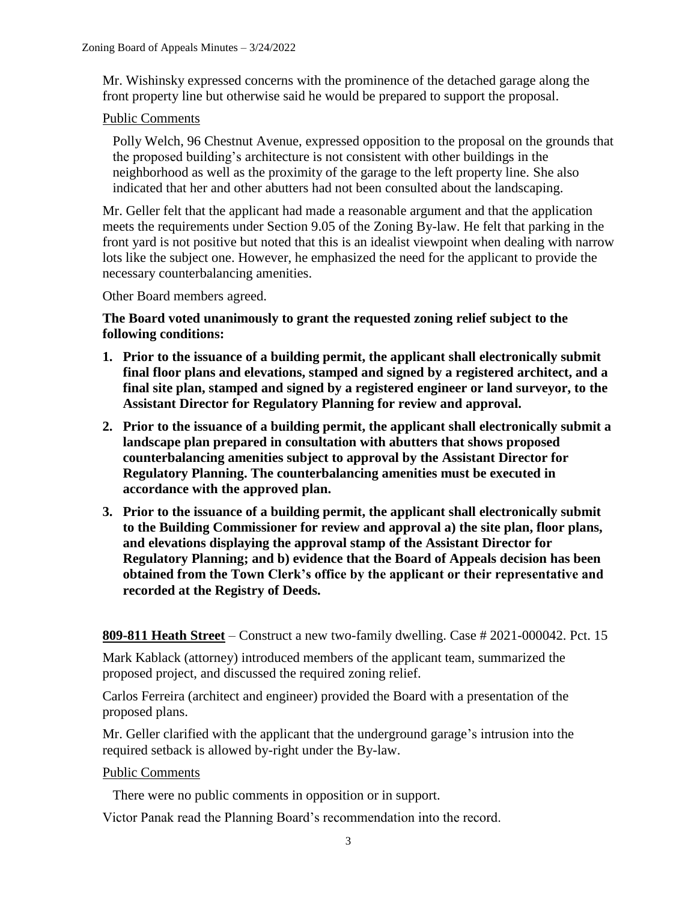Mr. Wishinsky expressed concerns with the prominence of the detached garage along the front property line but otherwise said he would be prepared to support the proposal.

### Public Comments

Polly Welch, 96 Chestnut Avenue, expressed opposition to the proposal on the grounds that the proposed building's architecture is not consistent with other buildings in the neighborhood as well as the proximity of the garage to the left property line. She also indicated that her and other abutters had not been consulted about the landscaping.

Mr. Geller felt that the applicant had made a reasonable argument and that the application meets the requirements under Section 9.05 of the Zoning By-law. He felt that parking in the front yard is not positive but noted that this is an idealist viewpoint when dealing with narrow lots like the subject one. However, he emphasized the need for the applicant to provide the necessary counterbalancing amenities.

Other Board members agreed.

**The Board voted unanimously to grant the requested zoning relief subject to the following conditions:**

- **1. Prior to the issuance of a building permit, the applicant shall electronically submit final floor plans and elevations, stamped and signed by a registered architect, and a final site plan, stamped and signed by a registered engineer or land surveyor, to the Assistant Director for Regulatory Planning for review and approval.**
- **2. Prior to the issuance of a building permit, the applicant shall electronically submit a landscape plan prepared in consultation with abutters that shows proposed counterbalancing amenities subject to approval by the Assistant Director for Regulatory Planning. The counterbalancing amenities must be executed in accordance with the approved plan.**
- **3. Prior to the issuance of a building permit, the applicant shall electronically submit to the Building Commissioner for review and approval a) the site plan, floor plans, and elevations displaying the approval stamp of the Assistant Director for Regulatory Planning; and b) evidence that the Board of Appeals decision has been obtained from the Town Clerk's office by the applicant or their representative and recorded at the Registry of Deeds.**

**809-811 Heath Street** – Construct a new two-family dwelling. Case # 2021-000042. Pct. 15

Mark Kablack (attorney) introduced members of the applicant team, summarized the proposed project, and discussed the required zoning relief.

Carlos Ferreira (architect and engineer) provided the Board with a presentation of the proposed plans.

Mr. Geller clarified with the applicant that the underground garage's intrusion into the required setback is allowed by-right under the By-law.

#### Public Comments

There were no public comments in opposition or in support.

Victor Panak read the Planning Board's recommendation into the record.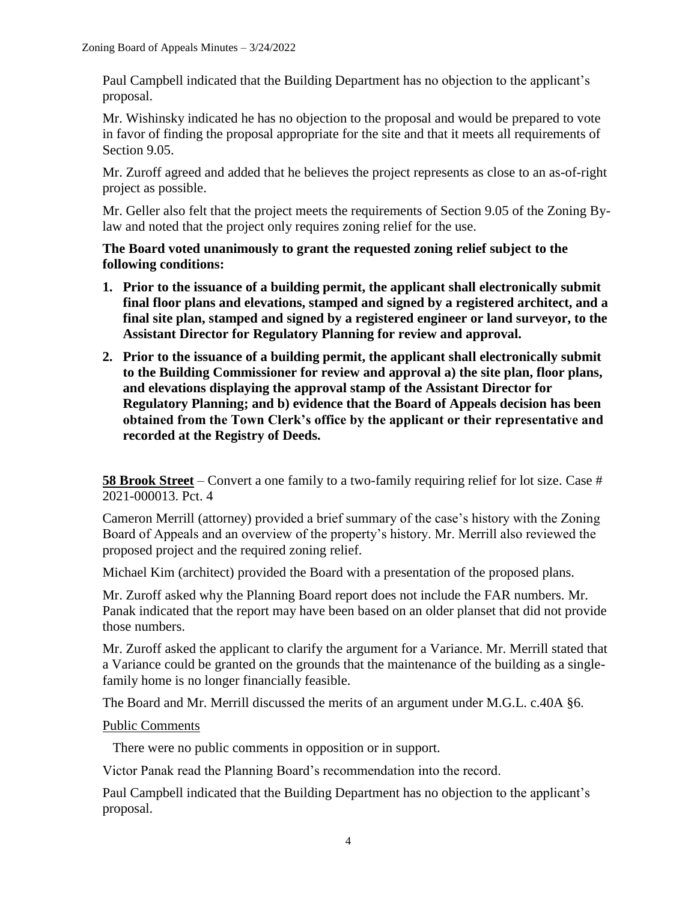Paul Campbell indicated that the Building Department has no objection to the applicant's proposal.

Mr. Wishinsky indicated he has no objection to the proposal and would be prepared to vote in favor of finding the proposal appropriate for the site and that it meets all requirements of Section 9.05.

Mr. Zuroff agreed and added that he believes the project represents as close to an as-of-right project as possible.

Mr. Geller also felt that the project meets the requirements of Section 9.05 of the Zoning Bylaw and noted that the project only requires zoning relief for the use.

### **The Board voted unanimously to grant the requested zoning relief subject to the following conditions:**

- **1. Prior to the issuance of a building permit, the applicant shall electronically submit final floor plans and elevations, stamped and signed by a registered architect, and a final site plan, stamped and signed by a registered engineer or land surveyor, to the Assistant Director for Regulatory Planning for review and approval.**
- **2. Prior to the issuance of a building permit, the applicant shall electronically submit to the Building Commissioner for review and approval a) the site plan, floor plans, and elevations displaying the approval stamp of the Assistant Director for Regulatory Planning; and b) evidence that the Board of Appeals decision has been obtained from the Town Clerk's office by the applicant or their representative and recorded at the Registry of Deeds.**

**58 Brook Street** – Convert a one family to a two-family requiring relief for lot size. Case # 2021-000013. Pct. 4

Cameron Merrill (attorney) provided a brief summary of the case's history with the Zoning Board of Appeals and an overview of the property's history. Mr. Merrill also reviewed the proposed project and the required zoning relief.

Michael Kim (architect) provided the Board with a presentation of the proposed plans.

Mr. Zuroff asked why the Planning Board report does not include the FAR numbers. Mr. Panak indicated that the report may have been based on an older planset that did not provide those numbers.

Mr. Zuroff asked the applicant to clarify the argument for a Variance. Mr. Merrill stated that a Variance could be granted on the grounds that the maintenance of the building as a singlefamily home is no longer financially feasible.

The Board and Mr. Merrill discussed the merits of an argument under M.G.L. c.40A §6.

## Public Comments

There were no public comments in opposition or in support.

Victor Panak read the Planning Board's recommendation into the record.

Paul Campbell indicated that the Building Department has no objection to the applicant's proposal.